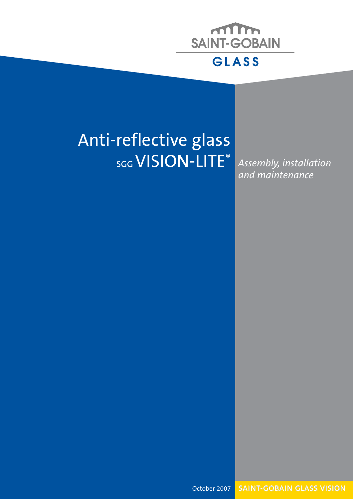

### Anti-reflective glass SGG VISION-LITE®

*Assembly, installation and maintenance*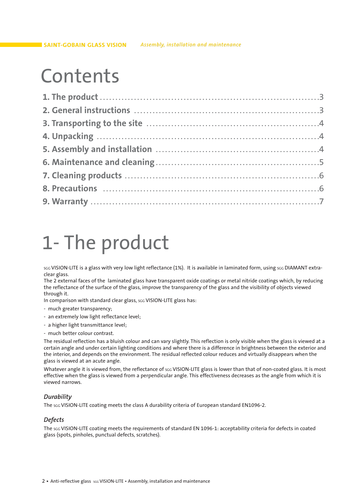### Contents

## 1- The product

sgg VISION-LITE is a glass with very low light reflectance (1%). It is available in laminated form, using sgg DIAMANT extraclear glass.

The 2 external faces of the laminated glass have transparent oxide coatings or metal nitride coatings which, by reducing the reflectance of the surface of the glass, improve the transparency of the glass and the visibility of objects viewed through it.

In comparison with standard clear glass, scc VISION-LITE glass has:

- much greater transparency;
- an extremely low light reflectance level;
- a higher light transmittance level;
- much better colour contrast.

The residual reflection has a bluish colour and can vary slightly. This reflection is only visible when the glass is viewed at a certain angle and under certain lighting conditions and where there is a difference in brightness between the exterior and the interior, and depends on the environment. The residual reflected colour reduces and virtually disappears when the glass is viewed at an acute angle.

Whatever angle it is viewed from, the reflectance of scc VISION-LITE glass is lower than that of non-coated glass. It is most effective when the glass is viewed from a perpendicular angle. This effectiveness decreases as the angle from which it is viewed narrows.

#### *Durability*

The scc VISION-LITE coating meets the class A durability criteria of European standard EN1096-2.

#### *Defects*

The SGG VISION-LITE coating meets the requirements of standard EN 1096-1: acceptability criteria for defects in coated glass (spots, pinholes, punctual defects, scratches).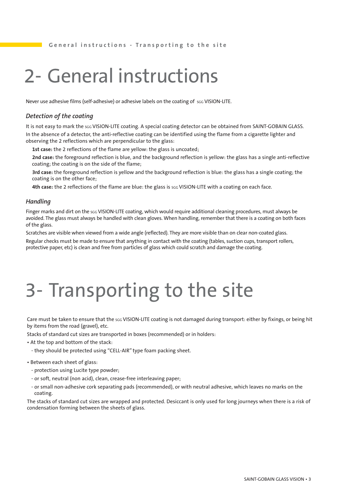## 2- General instructions

Never use adhesive films (self-adhesive) or adhesive labels on the coating of sGG VISION-LITE.

#### *Detection of the coating*

It is not easy to mark the sGG VISION-LITE coating. A special coating detector can be obtained from SAINT-GOBAIN GLASS. In the absence of a detector, the anti-reflective coating can be identified using the flame from a cigarette lighter and observing the 2 reflections which are perpendicular to the glass:

**1st case:** the 2 reflections of the flame are yellow: the glass is uncoated;

**2nd case:** the foreground reflection is blue, and the background reflection is yellow: the glass has a single anti-reflective coating; the coating is on the side of the flame;

**3rd case:** the foreground reflection is yellow and the background reflection is blue: the glass has a single coating; the coating is on the other face;

4th case: the 2 reflections of the flame are blue: the glass is scc VISION-LITE with a coating on each face.

#### *Handling*

Finger marks and dirt on the sac VISION-LITE coating, which would require additional cleaning procedures, must always be avoided. The glass must always be handled with clean gloves. When handling, remember that there is a coating on both faces of the glass.

Scratches are visible when viewed from a wide angle (reflected). They are more visible than on clear non-coated glass.

Regular checks must be made to ensure that anything in contact with the coating (tables, suction cups, transport rollers, protective paper, etc) is clean and free from particles of glass which could scratch and damage the coating.

## 3- Transporting to the site

Care must be taken to ensure that the sgg VISION-LITE coating is not damaged during transport: either by fixings, or being hit by items from the road (gravel), etc.

Stacks of standard cut sizes are transported in boxes (recommended) or in holders:

- At the top and bottom of the stack:
	- they should be protected using "CELL-AIR" type foam packing sheet.
- Between each sheet of glass:
	- protection using Lucite type powder;
	- or soft, neutral (non acid), clean, crease-free interleaving paper;
	- or small non-adhesive cork separating pads (recommended), or with neutral adhesive, which leaves no marks on the coating.

The stacks of standard cut sizes are wrapped and protected. Desiccant is only used for long journeys when there is a risk of condensation forming between the sheets of glass.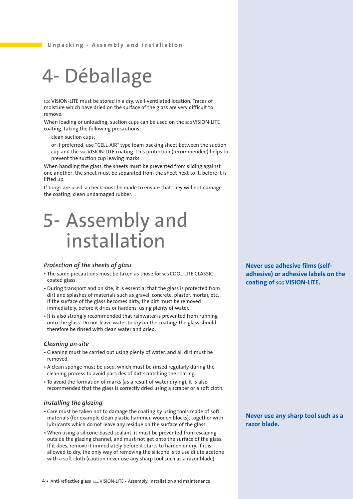## 4- Déballage

scc VISION-LITE must be stored in a dry, well-ventilated location. Traces of moisture which have dried on the surface of the glass are very difficult to remove.

When loading or unloading, suction cups can be used on the sGG VISION-LITE coating, taking the following precautions:

- clean suction cups;
- or if preferred, use "CELL-AIR" type foam packing sheet between the suction cup and the SGG VISION-LITE coating. This protection (recommended) helps to prevent the suction cup leaving marks.

When handling the glass, the sheets must be prevented from sliding against one another; the sheet must be separated from the sheet next to it, before it is lifted up.

If tongs are used, a check must be made to ensure that they will not damage the coating; clean undamaged rubber.

### 5- Assembly and installation

#### *Protection of the sheets of glass*

- The same precautions must be taken as those for soc COOL-LITE CLASSIC coated glass.
- During transport and on site, it is essential that the glass is protected from dirt and splashes of materials such as gravel, concrete, plaster, mortar, etc. If the surface of the glass becomes dirty, the dirt must be removed immediately, before it dries or hardens, using plenty of water.
- It is also strongly recommended that rainwater is prevented from running onto the glass. Do not leave water to dry on the coating: the glass should therefore be rinsed with clean water and dried.

#### *Cleaning on-site*

- Cleaning must be carried out using plenty of water, and all dirt must be removed.
- A clean sponge must be used, which must be rinsed regularly during the cleaning process to avoid particles of dirt scratching the coating.
- To avoid the formation of marks (as a result of water drying), it is also recommended that the glass is correctly dried using a scraper or a soft cloth.

#### *Installing the glazing*

- Care must be taken not to damage the coating by using tools made of soft materials (for example clean plastic hammer, wooden blocks), together with lubricants which do not leave any residue on the surface of the glass.
- When using a silicone-based sealant, it must be prevented from escaping outside the glazing channel, and must not get onto the surface of the glass. If it does, remove it immediately before it starts to harden or dry. If it is allowed to dry, the only way of removing the silicone is to use dilute acetone with a soft cloth (caution never use any sharp tool such as a razor blade).

**Never use adhesive films (selfadhesive) or adhesive labels on the coating of SGG VISION-LITE.**

#### **Never use any sharp tool such as a razor blade.**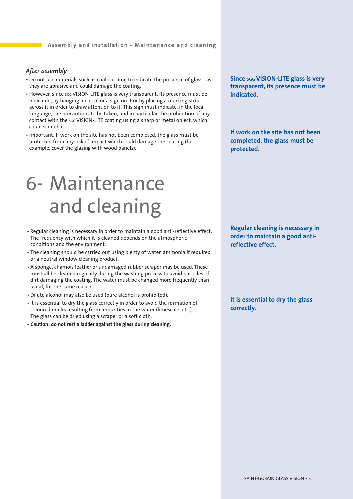#### *After assembly*

- Do not use materials such as chalk or lime to indicate the presence of glass, as they are abrasive and could damage the coating.
- However, since scc VISION-LITE glass is very transparent, its presence must be indicated, by hanging a notice or a sign on it or by placing a marking strip across it in order to draw attention to it. This sign must indicate, in the local language, the precautions to be taken, and in particular the prohibition of any contact with the sGG VISION-LITE coating using a sharp or metal object, which could scratch it.
- Important: If work on the site has not been completed, the glass must be protected from any risk of impact which could damage the coating (for example, cover the glazing with wood panels).

## 6- Maintenance and cleaning

- Regular cleaning is necessary in order to maintain a good anti-reflective effect. The frequency with which it is cleaned depends on the atmospheric conditions and the environment.
- The cleaning should be carried out using plenty of water, ammonia if required, or a neutral window cleaning product.
- A sponge, chamois leather or undamaged rubber scraper may be used. These must all be cleaned regularly during the washing process to avoid particles of dirt damaging the coating. The water must be changed more frequently than usual, for the same reason.
- Dilute alcohol may also be used (pure alcohol is prohibited).
- It is essential to dry the glass correctly in order to avoid the formation of coloured marks resulting from impurities in the water (limescale, etc.). The glass can be dried using a scraper or a soft cloth.
- **Caution: do not rest a ladder against the glass during cleaning.**

**Since sgg VISION-LITE glass is very transparent, its presence must be indicated.**

**If work on the site has not been completed, the glass must be protected.**

**Regular cleaning is necessary in order to maintain a good antireflective effect.**

**It is essential to dry the glass correctly.**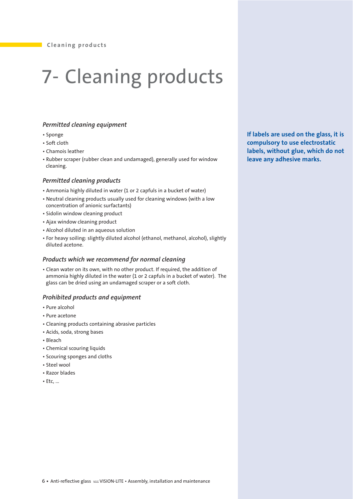# 7- Cleaning products

#### *Permitted cleaning equipment*

- Sponge
- Soft cloth
- Chamois leather
- Rubber scraper (rubber clean and undamaged), generally used for window cleaning.

#### *Permitted cleaning products*

- Ammonia highly diluted in water (1 or 2 capfuls in a bucket of water)
- Neutral cleaning products usually used for cleaning windows (with a low concentration of anionic surfactants)
- Sidolin window cleaning product
- Ajax window cleaning product
- Alcohol diluted in an aqueous solution
- For heavy soiling: slightly diluted alcohol (ethanol, methanol, alcohol), slightly diluted acetone.

#### *Products which we recommend for normal cleaning*

• Clean water on its own, with no other product. If required, the addition of ammonia highly diluted in the water (1 or 2 capfuls in a bucket of water). The glass can be dried using an undamaged scraper or a soft cloth.

#### *Prohibited products and equipment*

- Pure alcohol
- Pure acetone
- Cleaning products containing abrasive particles
- Acids, soda, strong bases
- Bleach
- Chemical scouring liquids
- Scouring sponges and cloths
- Steel wool
- Razor blades
- Etc, ...

**If labels are used on the glass, it is compulsory to use electrostatic labels, without glue, which do not leave any adhesive marks.**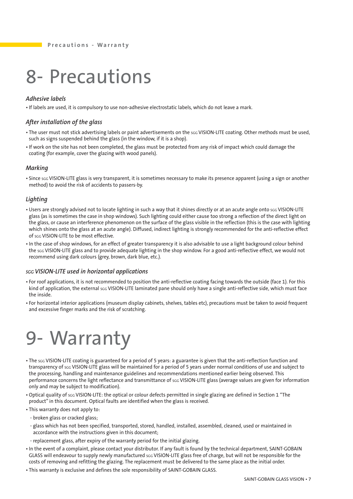## 8- Precautions

#### *Adhesive labels*

• If labels are used, it is compulsory to use non-adhesive electrostatic labels, which do not leave a mark.

#### *After installation of the glass*

- The user must not stick advertising labels or paint advertisements on the scc VISION-LITE coating. Other methods must be used, such as signs suspended behind the glass (in the window, if it is a shop).
- If work on the site has not been completed, the glass must be protected from any risk of impact which could damage the coating (for example, cover the glazing with wood panels).

#### *Marking*

• Since sgg VISION-LITE glass is very transparent, it is sometimes necessary to make its presence apparent (using a sign or another method) to avoid the risk of accidents to passers-by.

#### *Lighting*

- Users are strongly advised not to locate lighting in such a way that it shines directly or at an acute angle onto sac VISION-LITE glass (as is sometimes the case in shop windows). Such lighting could either cause too strong a reflection of the direct light on the glass, or cause an interference phenomenon on the surface of the glass visible in the reflection (this is the case with lighting which shines onto the glass at an acute angle). Diffused, indirect lighting is strongly recommended for the anti-reflective effect of saa VISION-LITE to be most effective.
- In the case of shop windows, for an effect of greater transparency it is also advisable to use a light background colour behind the SGG VISION-LITE glass and to provide adequate lighting in the shop window. For a good anti-reflective effect, we would not recommend using dark colours (grey, brown, dark blue, etc.).

#### *SGG VISION-LITE used in horizontal applications*

- For roof applications, it is not recommended to position the anti-reflective coating facing towards the outside (face 1). For this kind of application, the external sgg VISION-LITE laminated pane should only have a single anti-reflective side, which must face the inside.
- For horizontal interior applications (museum display cabinets, shelves, tables etc), precautions must be taken to avoid frequent and excessive finger marks and the risk of scratching.

## 9- Warranty

- The SGG VISION-LITE coating is guaranteed for a period of 5 years: a guarantee is given that the anti-reflection function and transparency of SGG VISION-LITE glass will be maintained for a period of 5 years under normal conditions of use and subject to the processing, handling and maintenance guidelines and recommendations mentioned earlier being observed. This performance concerns the light reflectance and transmittance of sGG VISION-LITE glass (average values are given for information only and may be subject to modification).
- Optical quality of SGG VISION-LITE: the optical or colour defects permitted in single glazing are defined in Section 1 "The product" in this document. Optical faults are identified when the glass is received.
- This warranty does not apply to:
	- broken glass or cracked glass;
- glass which has not been specified, transported, stored, handled, installed, assembled, cleaned, used or maintained in accordance with the instructions given in this document;
- replacement glass, after expiry of the warranty period for the initial glazing.
- In the event of a complaint, please contact your distributor. If any fault is found by the technical department, SAINT-GOBAIN GLASS will endeavour to supply newly manufactured scc VISION-LITE glass free of charge, but will not be responsible for the costs of removing and refitting the glazing. The replacement must be delivered to the same place as the initial order.
- This warranty is exclusive and defines the sole responsibility of SAINT-GOBAIN GLASS.